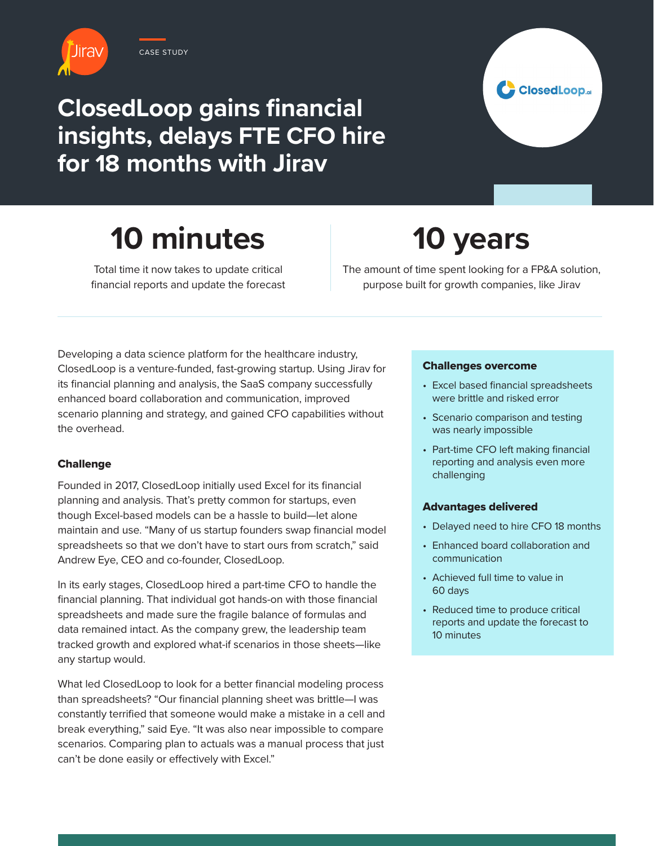

CASE STUDY

### **ClosedLoop gains financial insights, delays FTE CFO hire for 18 months with Jirav**



# **10 minutes**

Total time it now takes to update critical financial reports and update the forecast

## **10 years**

The amount of time spent looking for a FP&A solution, purpose built for growth companies, like Jirav

Developing a data science platform for the healthcare industry, ClosedLoop is a venture-funded, fast-growing startup. Using Jirav for its financial planning and analysis, the SaaS company successfully enhanced board collaboration and communication, improved scenario planning and strategy, and gained CFO capabilities without the overhead.

#### **Challenge**

Founded in 2017, ClosedLoop initially used Excel for its financial planning and analysis. That's pretty common for startups, even though Excel-based models can be a hassle to build—let alone maintain and use. "Many of us startup founders swap financial model spreadsheets so that we don't have to start ours from scratch," said Andrew Eye, CEO and co-founder, ClosedLoop.

In its early stages, ClosedLoop hired a part-time CFO to handle the financial planning. That individual got hands-on with those financial spreadsheets and made sure the fragile balance of formulas and data remained intact. As the company grew, the leadership team tracked growth and explored what-if scenarios in those sheets—like any startup would.

What led ClosedLoop to look for a better financial modeling process than spreadsheets? "Our financial planning sheet was brittle—I was constantly terrified that someone would make a mistake in a cell and break everything," said Eye. "It was also near impossible to compare scenarios. Comparing plan to actuals was a manual process that just can't be done easily or effectively with Excel."

#### Challenges overcome

- Excel based financial spreadsheets were brittle and risked error
- Scenario comparison and testing was nearly impossible
- Part-time CFO left making financial reporting and analysis even more challenging

#### Advantages delivered

- Delayed need to hire CFO 18 months
- Enhanced board collaboration and communication
- Achieved full time to value in 60 days
- Reduced time to produce critical reports and update the forecast to 10 minutes